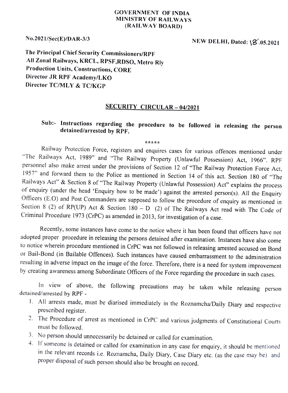## GOVERNMENT OF INDIA MINISTRY OF RAILWAYS (RAILWAY BOARD)

No.2021/Sec(E)/DAR-3/3 NEW DELHI, Dated: 18.05.2021

The Principal Chief Security Commissioners/RPF All Zonal Railways, KRCL, RPSF,RDSO, Metro Rly Production Units, Constructions, CORE Director JR RPF Academy/LKO Director TC/MLY & TC/KGP

## SECURITY CIRCULAR-04/2021

## Sub:- Instructions regarding the procedure to be followed in releasing the person detained/arrested by RPF.

\*\*\*\*\*

Railway Protection Force, registers and enquires cases for various offences mentioned under "The Railways Act, 1989" and "The Railway Property (Unlawful Possession) Act, 1966". RPF<br>personnel also make arrest under the provisions of Section 12 of "The Railway Protection Force Act, 1957" and forward them to the Police as mentioned in Section 14 of this act. Section 180 of "The Railways Act" & Section 8 of "The Railway Property (Unlawful Possession) Act" explains the process of enquiry (under the head 'Enquiry how to be made') against the arrested person(s). All the Enquiry<br>Officers (E.O) and Post Commanders are supposed to follow the procedure of enquiry as mentioned in Section 8 (2) of RP(UP) Act & Section  $180 - D$  (2) of The Railways Act read with The Code of Criminal Procedure 1973 (CrPC) as amended in 2013, for investigation of a case.

Recently, some instances have come to the notice where it has been found that officers have not adopted proper procedure in releasing the persons detained after examination. Instances have also come to notice wherein procedure mentioned in CrPC was not followed in releasing arrested accused on Bond or Bail-Bond (in Bailable Offences). Such instances have caused embarrassment to the administration<br>resulting in adverse impact on the image of the force. Therefore, there is a need for system improvement by creating awareness among Subordinate Officers of the Force regarding the procedure in such cases.

In view of above, the following precautions may be taken while releasing person detained/arrested by RPF -

- 1. All arrests made, must be diarised immediately in the Roznamcha/Daily Diary and respective prescribed register.
- 2. The Procedure of arrest as mentioned in CrPC and various judgments of Constitutional Courts must be followed.
- 3. No person should unnecessarily be detained or called for examination.
- 4. If someone is detained or called for examination in any case for enquiry, it should be mentioned in the relevant records i.e. Roznamcha, Daily Diary, Case Diary etc. (as the case may be) and proper disposal of such person should also be brought on record.